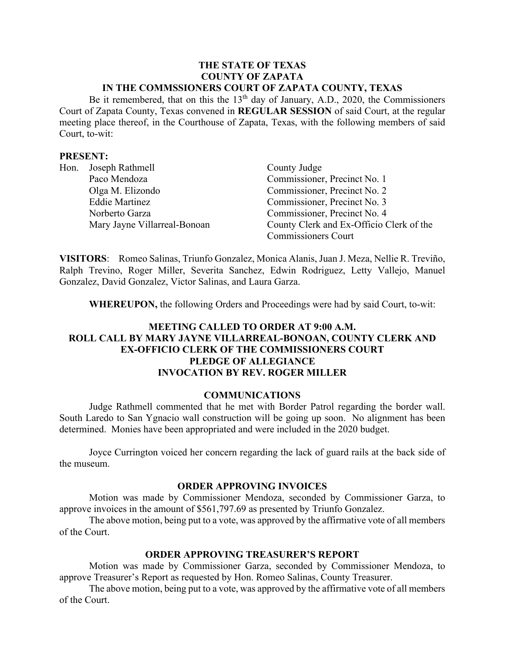#### **THE STATE OF TEXAS COUNTY OF ZAPATA IN THE COMMSSIONERS COURT OF ZAPATA COUNTY, TEXAS**

Be it remembered, that on this the  $13<sup>th</sup>$  day of January, A.D., 2020, the Commissioners Court of Zapata County, Texas convened in **REGULAR SESSION** of said Court, at the regular meeting place thereof, in the Courthouse of Zapata, Texas, with the following members of said Court, to-wit:

#### **PRESENT:**

| Hon. | Joseph Rathmell              | County Judge                             |
|------|------------------------------|------------------------------------------|
|      | Paco Mendoza                 | Commissioner, Precinct No. 1             |
|      | Olga M. Elizondo             | Commissioner, Precinct No. 2             |
|      | <b>Eddie Martinez</b>        | Commissioner, Precinct No. 3             |
|      | Norberto Garza               | Commissioner, Precinct No. 4             |
|      | Mary Jayne Villarreal-Bonoan | County Clerk and Ex-Officio Clerk of the |
|      |                              | <b>Commissioners Court</b>               |

**VISITORS**: Romeo Salinas, Triunfo Gonzalez, Monica Alanis, Juan J. Meza, Nellie R. Treviño, Ralph Trevino, Roger Miller, Severita Sanchez, Edwin Rodriguez, Letty Vallejo, Manuel Gonzalez, David Gonzalez, Victor Salinas, and Laura Garza.

**WHEREUPON,** the following Orders and Proceedings were had by said Court, to-wit:

# **MEETING CALLED TO ORDER AT 9:00 A.M. ROLL CALL BY MARY JAYNE VILLARREAL-BONOAN, COUNTY CLERK AND EX-OFFICIO CLERK OF THE COMMISSIONERS COURT PLEDGE OF ALLEGIANCE INVOCATION BY REV. ROGER MILLER**

#### **COMMUNICATIONS**

Judge Rathmell commented that he met with Border Patrol regarding the border wall. South Laredo to San Ygnacio wall construction will be going up soon. No alignment has been determined. Monies have been appropriated and were included in the 2020 budget.

Joyce Currington voiced her concern regarding the lack of guard rails at the back side of the museum.

#### **ORDER APPROVING INVOICES**

Motion was made by Commissioner Mendoza, seconded by Commissioner Garza, to approve invoices in the amount of \$561,797.69 as presented by Triunfo Gonzalez.

The above motion, being put to a vote, was approved by the affirmative vote of all members of the Court.

## **ORDER APPROVING TREASURER'S REPORT**

Motion was made by Commissioner Garza, seconded by Commissioner Mendoza, to approve Treasurer's Report as requested by Hon. Romeo Salinas, County Treasurer.

The above motion, being put to a vote, was approved by the affirmative vote of all members of the Court.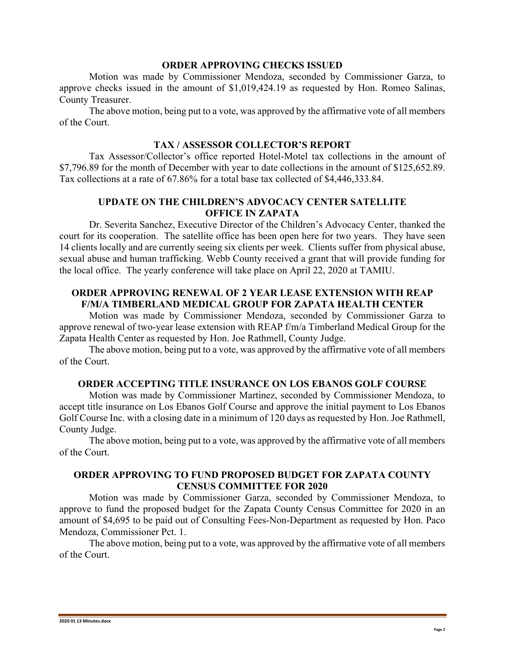#### **ORDER APPROVING CHECKS ISSUED**

Motion was made by Commissioner Mendoza, seconded by Commissioner Garza, to approve checks issued in the amount of \$1,019,424.19 as requested by Hon. Romeo Salinas, County Treasurer.

The above motion, being put to a vote, was approved by the affirmative vote of all members of the Court.

#### **TAX / ASSESSOR COLLECTOR'S REPORT**

Tax Assessor/Collector's office reported Hotel-Motel tax collections in the amount of \$7,796.89 for the month of December with year to date collections in the amount of \$125,652.89. Tax collections at a rate of 67.86% for a total base tax collected of \$4,446,333.84.

# **UPDATE ON THE CHILDREN'S ADVOCACY CENTER SATELLITE OFFICE IN ZAPATA**

Dr. Severita Sanchez, Executive Director of the Children's Advocacy Center, thanked the court for its cooperation. The satellite office has been open here for two years. They have seen 14 clients locally and are currently seeing six clients per week. Clients suffer from physical abuse, sexual abuse and human trafficking. Webb County received a grant that will provide funding for the local office. The yearly conference will take place on April 22, 2020 at TAMIU.

## **ORDER APPROVING RENEWAL OF 2 YEAR LEASE EXTENSION WITH REAP F/M/A TIMBERLAND MEDICAL GROUP FOR ZAPATA HEALTH CENTER**

Motion was made by Commissioner Mendoza, seconded by Commissioner Garza to approve renewal of two-year lease extension with REAP f/m/a Timberland Medical Group for the Zapata Health Center as requested by Hon. Joe Rathmell, County Judge.

The above motion, being put to a vote, was approved by the affirmative vote of all members of the Court.

#### **ORDER ACCEPTING TITLE INSURANCE ON LOS EBANOS GOLF COURSE**

Motion was made by Commissioner Martinez, seconded by Commissioner Mendoza, to accept title insurance on Los Ebanos Golf Course and approve the initial payment to Los Ebanos Golf Course Inc. with a closing date in a minimum of 120 days as requested by Hon. Joe Rathmell, County Judge.

The above motion, being put to a vote, was approved by the affirmative vote of all members of the Court.

## **ORDER APPROVING TO FUND PROPOSED BUDGET FOR ZAPATA COUNTY CENSUS COMMITTEE FOR 2020**

Motion was made by Commissioner Garza, seconded by Commissioner Mendoza, to approve to fund the proposed budget for the Zapata County Census Committee for 2020 in an amount of \$4,695 to be paid out of Consulting Fees-Non-Department as requested by Hon. Paco Mendoza, Commissioner Pct. 1.

The above motion, being put to a vote, was approved by the affirmative vote of all members of the Court.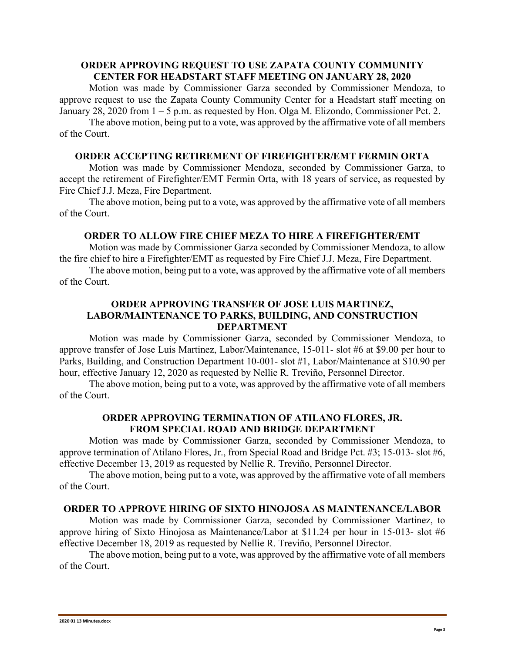## **ORDER APPROVING REQUEST TO USE ZAPATA COUNTY COMMUNITY CENTER FOR HEADSTART STAFF MEETING ON JANUARY 28, 2020**

Motion was made by Commissioner Garza seconded by Commissioner Mendoza, to approve request to use the Zapata County Community Center for a Headstart staff meeting on January 28, 2020 from 1 – 5 p.m. as requested by Hon. Olga M. Elizondo, Commissioner Pct. 2.

The above motion, being put to a vote, was approved by the affirmative vote of all members of the Court.

# **ORDER ACCEPTING RETIREMENT OF FIREFIGHTER/EMT FERMIN ORTA**

Motion was made by Commissioner Mendoza, seconded by Commissioner Garza, to accept the retirement of Firefighter/EMT Fermin Orta, with 18 years of service, as requested by Fire Chief J.J. Meza, Fire Department.

The above motion, being put to a vote, was approved by the affirmative vote of all members of the Court.

#### **ORDER TO ALLOW FIRE CHIEF MEZA TO HIRE A FIREFIGHTER/EMT**

Motion was made by Commissioner Garza seconded by Commissioner Mendoza, to allow the fire chief to hire a Firefighter/EMT as requested by Fire Chief J.J. Meza, Fire Department.

The above motion, being put to a vote, was approved by the affirmative vote of all members of the Court.

## **ORDER APPROVING TRANSFER OF JOSE LUIS MARTINEZ, LABOR/MAINTENANCE TO PARKS, BUILDING, AND CONSTRUCTION DEPARTMENT**

Motion was made by Commissioner Garza, seconded by Commissioner Mendoza, to approve transfer of Jose Luis Martinez, Labor/Maintenance, 15-011- slot #6 at \$9.00 per hour to Parks, Building, and Construction Department 10-001- slot #1, Labor/Maintenance at \$10.90 per hour, effective January 12, 2020 as requested by Nellie R. Treviño, Personnel Director.

The above motion, being put to a vote, was approved by the affirmative vote of all members of the Court.

# **ORDER APPROVING TERMINATION OF ATILANO FLORES, JR. FROM SPECIAL ROAD AND BRIDGE DEPARTMENT**

Motion was made by Commissioner Garza, seconded by Commissioner Mendoza, to approve termination of Atilano Flores, Jr., from Special Road and Bridge Pct. #3; 15-013- slot #6, effective December 13, 2019 as requested by Nellie R. Treviño, Personnel Director.

The above motion, being put to a vote, was approved by the affirmative vote of all members of the Court.

## **ORDER TO APPROVE HIRING OF SIXTO HINOJOSA AS MAINTENANCE/LABOR**

Motion was made by Commissioner Garza, seconded by Commissioner Martinez, to approve hiring of Sixto Hinojosa as Maintenance/Labor at \$11.24 per hour in 15-013- slot #6 effective December 18, 2019 as requested by Nellie R. Treviño, Personnel Director.

The above motion, being put to a vote, was approved by the affirmative vote of all members of the Court.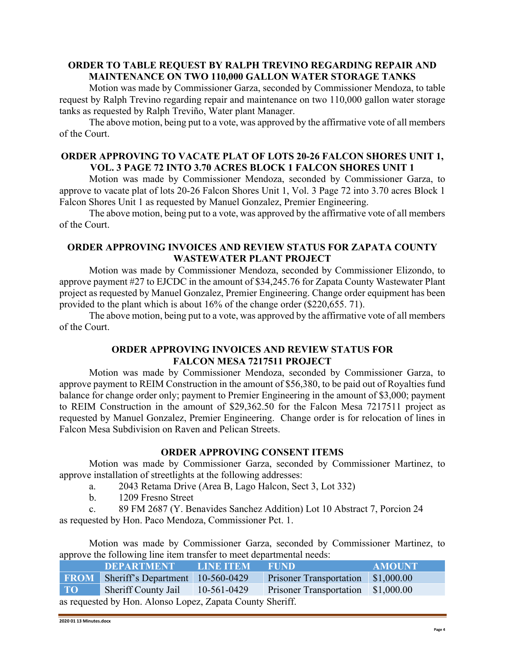## **ORDER TO TABLE REQUEST BY RALPH TREVINO REGARDING REPAIR AND MAINTENANCE ON TWO 110,000 GALLON WATER STORAGE TANKS**

Motion was made by Commissioner Garza, seconded by Commissioner Mendoza, to table request by Ralph Trevino regarding repair and maintenance on two 110,000 gallon water storage tanks as requested by Ralph Treviño, Water plant Manager.

The above motion, being put to a vote, was approved by the affirmative vote of all members of the Court.

# **ORDER APPROVING TO VACATE PLAT OF LOTS 20-26 FALCON SHORES UNIT 1, VOL. 3 PAGE 72 INTO 3.70 ACRES BLOCK 1 FALCON SHORES UNIT 1**

Motion was made by Commissioner Mendoza, seconded by Commissioner Garza, to approve to vacate plat of lots 20-26 Falcon Shores Unit 1, Vol. 3 Page 72 into 3.70 acres Block 1 Falcon Shores Unit 1 as requested by Manuel Gonzalez, Premier Engineering.

The above motion, being put to a vote, was approved by the affirmative vote of all members of the Court.

## **ORDER APPROVING INVOICES AND REVIEW STATUS FOR ZAPATA COUNTY WASTEWATER PLANT PROJECT**

Motion was made by Commissioner Mendoza, seconded by Commissioner Elizondo, to approve payment #27 to EJCDC in the amount of \$34,245.76 for Zapata County Wastewater Plant project as requested by Manuel Gonzalez, Premier Engineering. Change order equipment has been provided to the plant which is about 16% of the change order (\$220,655. 71).

The above motion, being put to a vote, was approved by the affirmative vote of all members of the Court.

# **ORDER APPROVING INVOICES AND REVIEW STATUS FOR FALCON MESA 7217511 PROJECT**

Motion was made by Commissioner Mendoza, seconded by Commissioner Garza, to approve payment to REIM Construction in the amount of \$56,380, to be paid out of Royalties fund balance for change order only; payment to Premier Engineering in the amount of \$3,000; payment to REIM Construction in the amount of \$29,362.50 for the Falcon Mesa 7217511 project as requested by Manuel Gonzalez, Premier Engineering. Change order is for relocation of lines in Falcon Mesa Subdivision on Raven and Pelican Streets.

## **ORDER APPROVING CONSENT ITEMS**

Motion was made by Commissioner Garza, seconded by Commissioner Martinez, to approve installation of streetlights at the following addresses:

- a. 2043 Retama Drive (Area B, Lago Halcon, Sect 3, Lot 332)
- b. 1209 Fresno Street
- c. 89 FM 2687 (Y. Benavides Sanchez Addition) Lot 10 Abstract 7, Porcion 24

as requested by Hon. Paco Mendoza, Commissioner Pct. 1.

Motion was made by Commissioner Garza, seconded by Commissioner Martinez, to approve the following line item transfer to meet departmental needs:

|                                                           | DEPARTMENT LINE ITEM             |  | <b>FUND</b>                                             | <b>AMOUNT</b> |  |  |
|-----------------------------------------------------------|----------------------------------|--|---------------------------------------------------------|---------------|--|--|
| <b>FROM</b>                                               | Sheriff's Department 10-560-0429 |  | <b>Prisoner Transportation</b>                          | \$1,000.00    |  |  |
| <b>TO</b>                                                 |                                  |  | Sheriff County Jail 10-561-0429 Prisoner Transportation | \$1,000.00    |  |  |
| as requested by Hon. Alonso Lopez, Zapata County Sheriff. |                                  |  |                                                         |               |  |  |